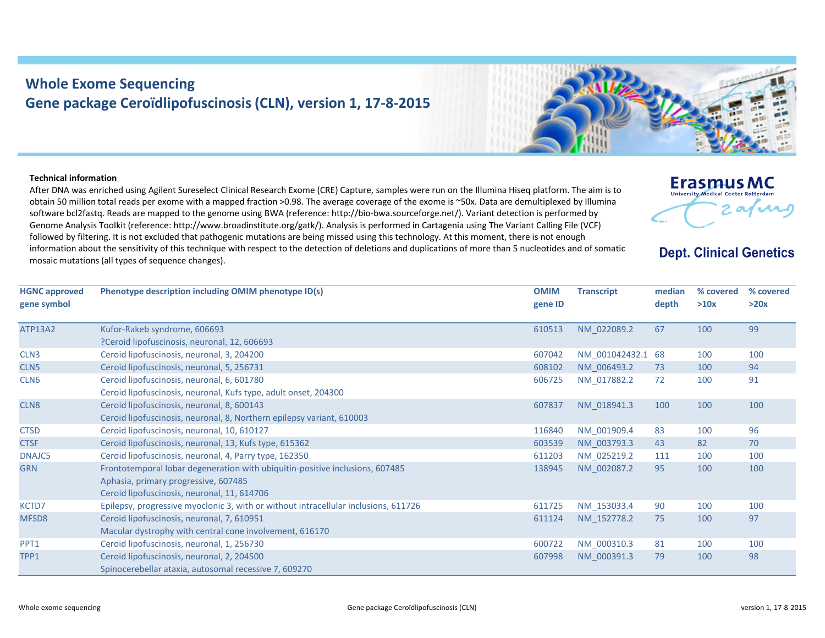## **Whole Exome Sequencing Gene package Ceroïdlipofuscinosis (CLN), version 1, 17‐8‐2015**

## **Technical information**

After DNA was enriched using Agilent Sureselect Clinical Research Exome (CRE) Capture, samples were run on the Illumina Hiseq platform. The aim is to obtain 50 million total reads per exome with <sup>a</sup> mapped fraction >0.98. The average coverage of the exome is ~50x. Data are demultiplexed by Illumina software bcl2fastq. Reads are mapped to the genome using BWA (reference: http://bio‐bwa.sourceforge.net/). Variant detection is performed by Genome Analysis Toolkit (reference: http://www.broadinstitute.org/gatk/). Analysis is performed in Cartagenia using The Variant Calling File (VCF) followed by filtering. It is not excluded that pathogenic mutations are being missed using this technology. At this moment, there is not enough information about the sensitivity of this technique with respect to the detection of deletions and duplications of more than 5 nucleotides and of somatic mosaic mutations (all types of sequence changes).





**Dept. Clinical Genetics** 

TPP1 Ceroid lipofuscinosis, neuronal, 2, 204500

Spinocerebellar ataxia, autosomal recessive 7, 609270

607998 NM\_000391.3 79 100 98